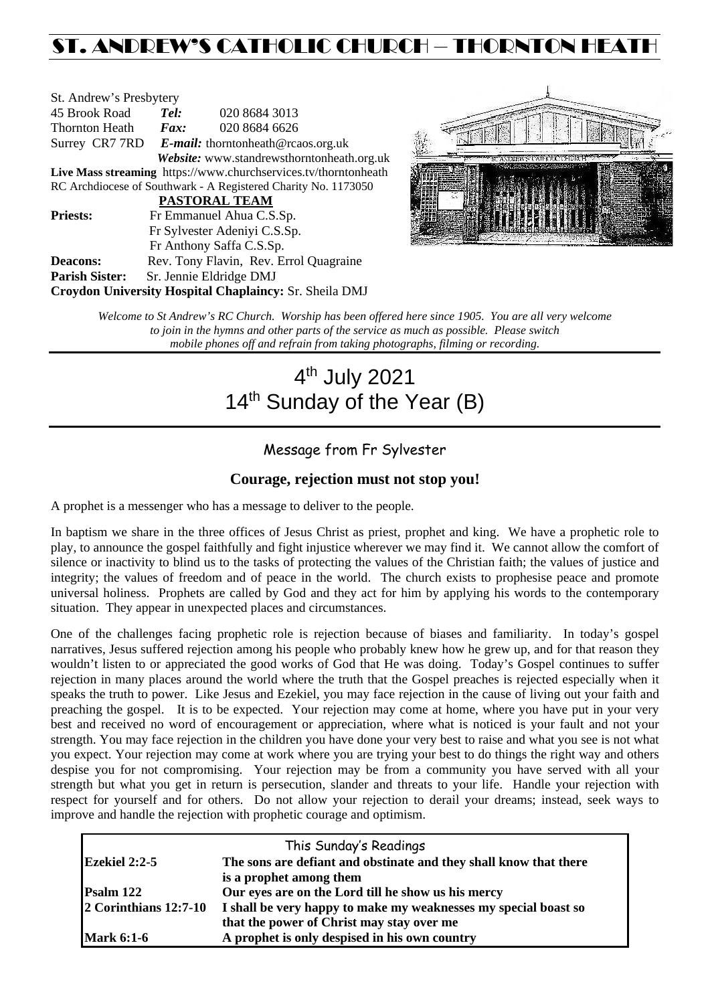# ST. ANDREW'S CATHOLIC CHURCH – THORNTON HEAT

| St. Andrew's Presbytery                                         |                                                   |                                            |  |  |  |
|-----------------------------------------------------------------|---------------------------------------------------|--------------------------------------------|--|--|--|
| 45 Brook Road                                                   | Tel:                                              | 020 8684 3013                              |  |  |  |
| Thornton Heath                                                  | $\boldsymbol{F}$ <i>ax</i> :                      | 020 8684 6626                              |  |  |  |
|                                                                 | Surrey CR7 7RD E-mail: thorntonheath@rcaos.org.uk |                                            |  |  |  |
|                                                                 |                                                   | Website: www.standrewsthorntonheath.org.uk |  |  |  |
| Live Mass streaming https://www.churchservices.tv/thorntonheath |                                                   |                                            |  |  |  |
| RC Archdiocese of Southwark - A Registered Charity No. 1173050  |                                                   |                                            |  |  |  |
| <b>PASTORAL TEAM</b>                                            |                                                   |                                            |  |  |  |
| <b>Priests:</b>                                                 | Fr Emmanuel Ahua C.S.Sp.                          |                                            |  |  |  |
| Fr Sylvester Adeniyi C.S.Sp.                                    |                                                   |                                            |  |  |  |
|                                                                 |                                                   | Fr Anthony Saffa C.S.Sp.                   |  |  |  |
| Deacons:                                                        |                                                   | Rev. Tony Flavin, Rev. Errol Quagraine     |  |  |  |
| <b>Parish Sister:</b>                                           |                                                   | Sr. Jennie Eldridge DMJ                    |  |  |  |
| <b>Croydon University Hospital Chaplaincy: Sr. Sheila DMJ</b>   |                                                   |                                            |  |  |  |



*Welcome to St Andrew's RC Church. Worship has been offered here since 1905. You are all very welcome to join in the hymns and other parts of the service as much as possible. Please switch mobile phones off and refrain from taking photographs, filming or recording.*

# 4th July 2021 14<sup>th</sup> Sunday of the Year (B)

# Message from Fr Sylvester

#### **Courage, rejection must not stop you!**

A prophet is a messenger who has a message to deliver to the people.

In baptism we share in the three offices of Jesus Christ as priest, prophet and king. We have a prophetic role to play, to announce the gospel faithfully and fight injustice wherever we may find it. We cannot allow the comfort of silence or inactivity to blind us to the tasks of protecting the values of the Christian faith; the values of justice and integrity; the values of freedom and of peace in the world. The church exists to prophesise peace and promote universal holiness. Prophets are called by God and they act for him by applying his words to the contemporary situation. They appear in unexpected places and circumstances.

One of the challenges facing prophetic role is rejection because of biases and familiarity. In today's gospel narratives, Jesus suffered rejection among his people who probably knew how he grew up, and for that reason they wouldn't listen to or appreciated the good works of God that He was doing. Today's Gospel continues to suffer rejection in many places around the world where the truth that the Gospel preaches is rejected especially when it speaks the truth to power. Like Jesus and Ezekiel, you may face rejection in the cause of living out your faith and preaching the gospel. It is to be expected. Your rejection may come at home, where you have put in your very best and received no word of encouragement or appreciation, where what is noticed is your fault and not your strength. You may face rejection in the children you have done your very best to raise and what you see is not what you expect. Your rejection may come at work where you are trying your best to do things the right way and others despise you for not compromising. Your rejection may be from a community you have served with all your strength but what you get in return is persecution, slander and threats to your life. Handle your rejection with respect for yourself and for others. Do not allow your rejection to derail your dreams; instead, seek ways to improve and handle the rejection with prophetic courage and optimism.

| This Sunday's Readings |                                                                   |  |  |  |
|------------------------|-------------------------------------------------------------------|--|--|--|
| Ezekiel $2:2-5$        | The sons are defiant and obstinate and they shall know that there |  |  |  |
|                        | is a prophet among them                                           |  |  |  |
| Psalm 122              | Our eyes are on the Lord till he show us his mercy                |  |  |  |
| 2 Corinthians 12:7-10  | I shall be very happy to make my weaknesses my special boast so   |  |  |  |
|                        | that the power of Christ may stay over me                         |  |  |  |
| <b>Mark 6:1-6</b>      | A prophet is only despised in his own country                     |  |  |  |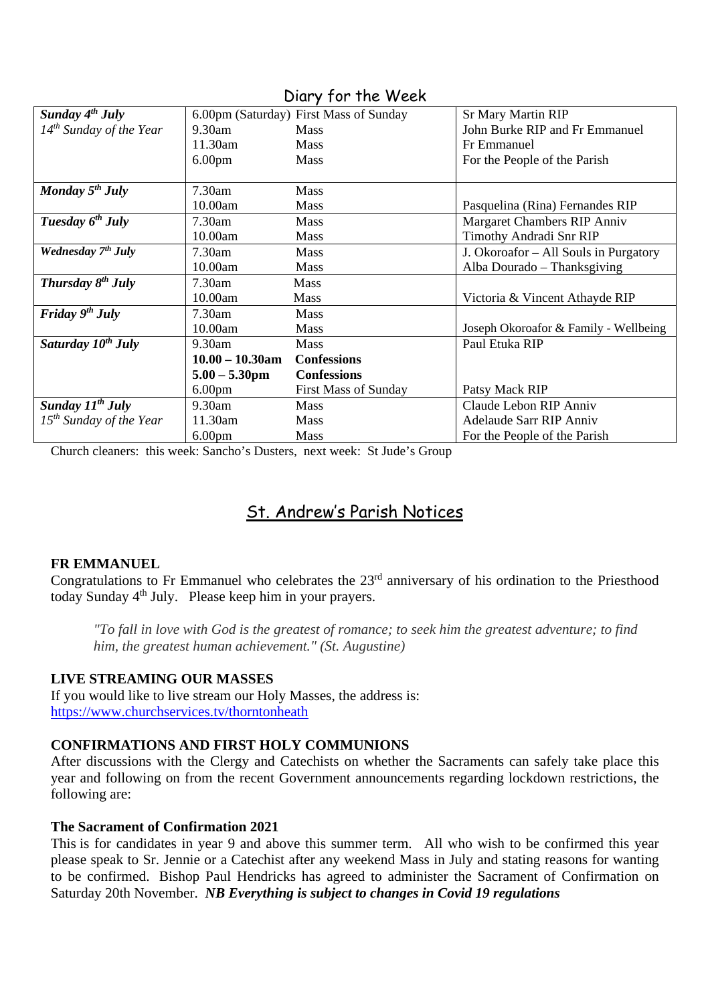| $1.01$ $1.10$ $1.70$           |                    |                                        |                                       |  |  |
|--------------------------------|--------------------|----------------------------------------|---------------------------------------|--|--|
| Sunday $4^{th}$ July           |                    | 6.00pm (Saturday) First Mass of Sunday | <b>Sr Mary Martin RIP</b>             |  |  |
| $14^{th}$ Sunday of the Year   | $9.30$ am          | <b>Mass</b>                            | John Burke RIP and Fr Emmanuel        |  |  |
|                                | 11.30am            | <b>Mass</b>                            | Fr Emmanuel                           |  |  |
|                                | 6.00 <sub>pm</sub> | <b>Mass</b>                            | For the People of the Parish          |  |  |
|                                |                    |                                        |                                       |  |  |
| Monday $5^{th}$ July           | 7.30am             | <b>Mass</b>                            |                                       |  |  |
|                                | 10.00am            | <b>Mass</b>                            | Pasquelina (Rina) Fernandes RIP       |  |  |
| Tuesday $6^{th}$ July          | 7.30am             | <b>Mass</b>                            | Margaret Chambers RIP Anniv           |  |  |
|                                | 10.00am            | <b>Mass</b>                            | Timothy Andradi Snr RIP               |  |  |
| Wednesday 7 <sup>th</sup> July | 7.30am             | Mass                                   | J. Okoroafor – All Souls in Purgatory |  |  |
|                                | 10.00am            | <b>Mass</b>                            | Alba Dourado - Thanksgiving           |  |  |
| Thursday $8^{th}$ July         | 7.30am             | <b>Mass</b>                            |                                       |  |  |
|                                | 10.00am            | <b>Mass</b>                            | Victoria & Vincent Athayde RIP        |  |  |
| Friday $9th$ July              | 7.30am             | <b>Mass</b>                            |                                       |  |  |
|                                | 10.00am            | <b>Mass</b>                            | Joseph Okoroafor & Family - Wellbeing |  |  |
| Saturday 10 <sup>th</sup> July | 9.30am             | <b>Mass</b>                            | Paul Etuka RIP                        |  |  |
|                                | $10.00 - 10.30$ am | <b>Confessions</b>                     |                                       |  |  |
|                                | $5.00 - 5.30$ pm   | <b>Confessions</b>                     |                                       |  |  |
|                                | 6.00 <sub>pm</sub> | <b>First Mass of Sunday</b>            | Patsy Mack RIP                        |  |  |
| Sunday $11^{th}$ July          | 9.30am             | <b>Mass</b>                            | Claude Lebon RIP Anniv                |  |  |
| $15th$ Sunday of the Year      | 11.30am            | <b>Mass</b>                            | <b>Adelaude Sarr RIP Anniv</b>        |  |  |
|                                | 6.00 <sub>pm</sub> | <b>Mass</b>                            | For the People of the Parish          |  |  |

Diary for the Week

Church cleaners: this week: Sancho's Dusters, next week: St Jude's Group

# St. Andrew's Parish Notices

# **FR EMMANUEL**

Congratulations to Fr Emmanuel who celebrates the 23rd anniversary of his ordination to the Priesthood today Sunday 4th July. Please keep him in your prayers.

*"To fall in love with God is the greatest of romance; to seek him the greatest adventure; to find him, the greatest human achievement." (St. Augustine)*

#### **LIVE STREAMING OUR MASSES**

If you would like to live stream our Holy Masses, the address is: <https://www.churchservices.tv/thorntonheath>

# **CONFIRMATIONS AND FIRST HOLY COMMUNIONS**

After discussions with the Clergy and Catechists on whether the Sacraments can safely take place this year and following on from the recent Government announcements regarding lockdown restrictions, the following are:

#### **The Sacrament of Confirmation 2021**

This is for candidates in year 9 and above this summer term. All who wish to be confirmed this year please speak to Sr. Jennie or a Catechist after any weekend Mass in July and stating reasons for wanting to be confirmed. Bishop Paul Hendricks has agreed to administer the Sacrament of Confirmation on Saturday 20th November. *NB Everything is subject to changes in Covid 19 regulations*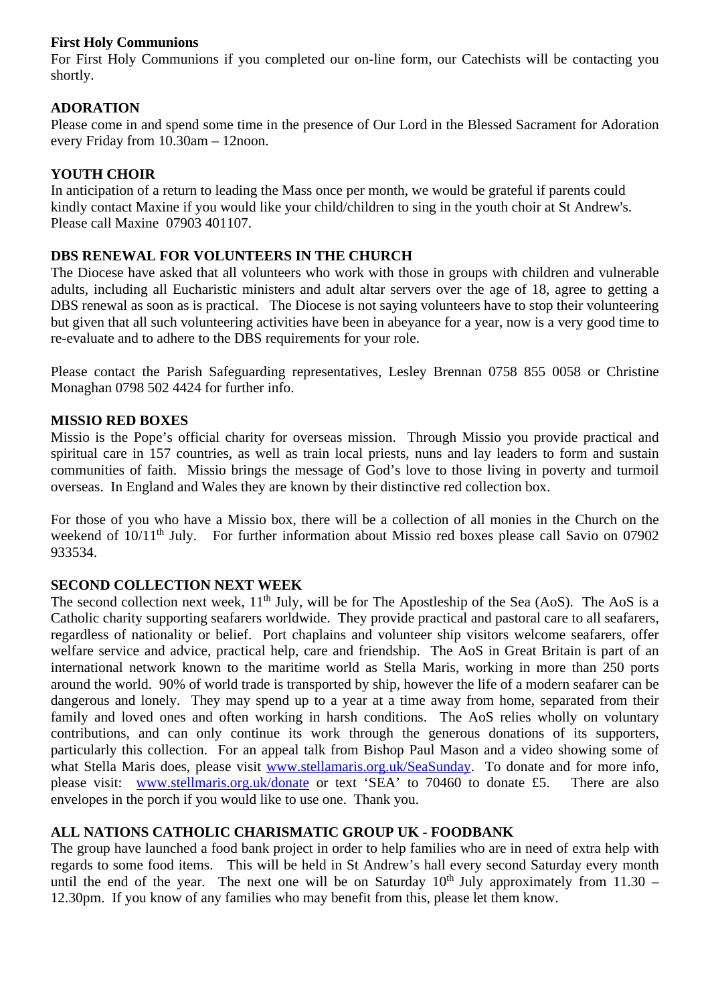#### **First Holy Communions**

For First Holy Communions if you completed our on-line form, our Catechists will be contacting you shortly.

# **ADORATION**

Please come in and spend some time in the presence of Our Lord in the Blessed Sacrament for Adoration every Friday from 10.30am – 12noon.

# **YOUTH CHOIR**

In anticipation of a return to leading the Mass once per month, we would be grateful if parents could kindly contact Maxine if you would like your child/children to sing in the youth choir at St Andrew's. Please call Maxine 07903 401107.

# **DBS RENEWAL FOR VOLUNTEERS IN THE CHURCH**

The Diocese have asked that all volunteers who work with those in groups with children and vulnerable adults, including all Eucharistic ministers and adult altar servers over the age of 18, agree to getting a DBS renewal as soon as is practical. The Diocese is not saying volunteers have to stop their volunteering but given that all such volunteering activities have been in abeyance for a year, now is a very good time to re-evaluate and to adhere to the DBS requirements for your role.

Please contact the Parish Safeguarding representatives, Lesley Brennan 0758 855 0058 or Christine Monaghan 0798 502 4424 for further info.

# **MISSIO RED BOXES**

Missio is the Pope's official charity for overseas mission. Through Missio you provide practical and spiritual care in 157 countries, as well as train local priests, nuns and lay leaders to form and sustain communities of faith. Missio brings the message of God's love to those living in poverty and turmoil overseas. In England and Wales they are known by their distinctive red collection box.

For those of you who have a Missio box, there will be a collection of all monies in the Church on the weekend of 10/11<sup>th</sup> July. For further information about Missio red boxes please call Savio on 07902 933534.

# **SECOND COLLECTION NEXT WEEK**

The second collection next week,  $11<sup>th</sup>$  July, will be for The Apostleship of the Sea (AoS). The AoS is a Catholic charity supporting seafarers worldwide. They provide practical and pastoral care to all seafarers, regardless of nationality or belief. Port chaplains and volunteer ship visitors welcome seafarers, offer welfare service and advice, practical help, care and friendship. The AoS in Great Britain is part of an international network known to the maritime world as Stella Maris, working in more than 250 ports around the world. 90% of world trade is transported by ship, however the life of a modern seafarer can be dangerous and lonely. They may spend up to a year at a time away from home, separated from their family and loved ones and often working in harsh conditions. The AoS relies wholly on voluntary contributions, and can only continue its work through the generous donations of its supporters, particularly this collection. For an appeal talk from Bishop Paul Mason and a video showing some of what Stella Maris does, please visit [www.stellamaris.org.uk/SeaSunday.](http://www.stellamaris.org.uk/SeaSunday) To donate and for more info, please visit: [www.stellmaris.org.uk/donate](http://www.stellmaris.org.uk/donate) or text 'SEA' to 70460 to donate £5. There are also envelopes in the porch if you would like to use one. Thank you.

# **ALL NATIONS CATHOLIC CHARISMATIC GROUP UK - FOODBANK**

The group have launched a food bank project in order to help families who are in need of extra help with regards to some food items. This will be held in St Andrew's hall every second Saturday every month until the end of the year. The next one will be on Saturday  $10<sup>th</sup>$  July approximately from 11.30 – 12.30pm. If you know of any families who may benefit from this, please let them know.